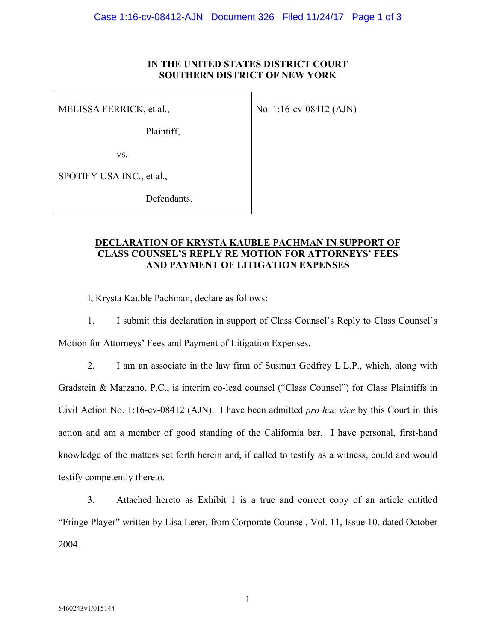## **IN THE UNITED STATES DISTRICT COURT SOUTHERN DISTRICT OF NEW YORK**

MELISSA FERRICK, et al.,

No. 1:16-cv-08412 (AJN)

Plaintiff,

vs.

SPOTIFY USA INC., et al.,

Defendants.

## **DECLARATION OF KRYSTA KAUBLE PACHMAN IN SUPPORT OF CLASS COUNSEL'S REPLY RE MOTION FOR ATTORNEYS' FEES AND PAYMENT OF LITIGATION EXPENSES**

I, Krysta Kauble Pachman, declare as follows:

1. I submit this declaration in support of Class Counsel's Reply to Class Counsel's Motion for Attorneys' Fees and Payment of Litigation Expenses.

2. I am an associate in the law firm of Susman Godfrey L.L.P., which, along with Gradstein & Marzano, P.C., is interim co-lead counsel ("Class Counsel") for Class Plaintiffs in Civil Action No. 1:16-cv-08412 (AJN). I have been admitted *pro hac vice* by this Court in this action and am a member of good standing of the California bar. I have personal, first-hand knowledge of the matters set forth herein and, if called to testify as a witness, could and would testify competently thereto.

3. Attached hereto as Exhibit 1 is a true and correct copy of an article entitled "Fringe Player" written by Lisa Lerer, from Corporate Counsel, Vol. 11, Issue 10, dated October 2004.

1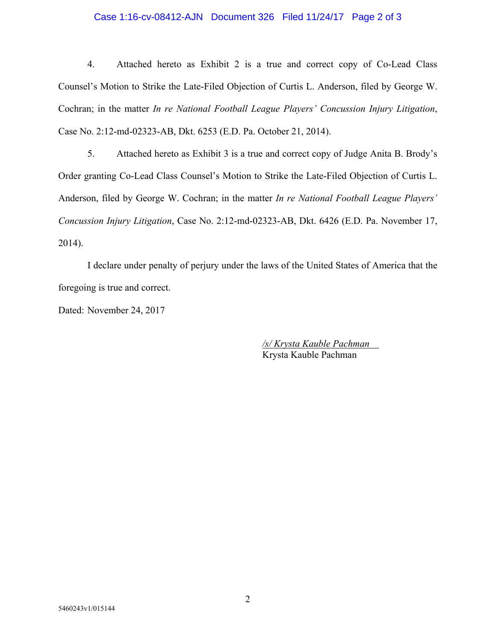## Case 1:16-cv-08412-AJN Document 326 Filed 11/24/17 Page 2 of 3

4. Attached hereto as Exhibit 2 is a true and correct copy of Co-Lead Class Counsel's Motion to Strike the Late-Filed Objection of Curtis L. Anderson, filed by George W. Cochran; in the matter *In re National Football League Players' Concussion Injury Litigation*, Case No. 2:12-md-02323-AB, Dkt. 6253 (E.D. Pa. October 21, 2014).

5. Attached hereto as Exhibit 3 is a true and correct copy of Judge Anita B. Brody's Order granting Co-Lead Class Counsel's Motion to Strike the Late-Filed Objection of Curtis L. Anderson, filed by George W. Cochran; in the matter *In re National Football League Players' Concussion Injury Litigation*, Case No. 2:12-md-02323-AB, Dkt. 6426 (E.D. Pa. November 17, 2014).

I declare under penalty of perjury under the laws of the United States of America that the foregoing is true and correct.

Dated: November 24, 2017

*/s/ Krysta Kauble Pachman*  Krysta Kauble Pachman